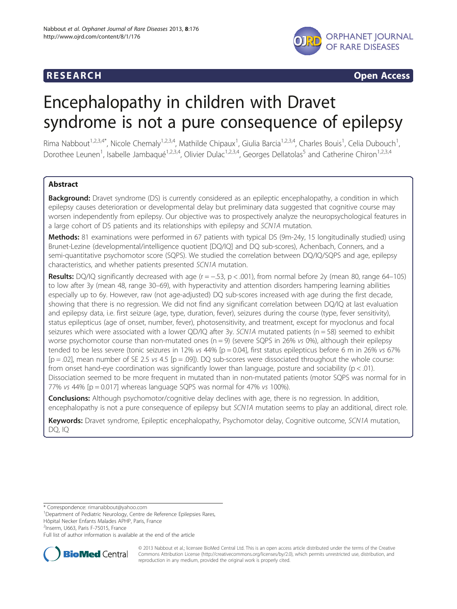

**RESEARCH CHINESEARCH CHINESEARCH CHINESE** 

# Encephalopathy in children with Dravet syndrome is not a pure consequence of epilepsy

Rima Nabbout<sup>1,2,3,4\*</sup>, Nicole Chemaly<sup>1,2,3,4</sup>, Mathilde Chipaux<sup>1</sup>, Giulia Barcia<sup>1,2,3,4</sup>, Charles Bouis<sup>1</sup>, Celia Dubouch<sup>1</sup> , Dorothee Leunen<sup>1</sup>, Isabelle Jambaqué<sup>1,2,3,4</sup>, Olivier Dulac<sup>1,2,3,4</sup>, Georges Dellatolas<sup>5</sup> and Catherine Chiron<sup>1,2,3,4</sup>

# **Abstract**

Background: Dravet syndrome (DS) is currently considered as an epileptic encephalopathy, a condition in which epilepsy causes deterioration or developmental delay but preliminary data suggested that cognitive course may worsen independently from epilepsy. Our objective was to prospectively analyze the neuropsychological features in a large cohort of DS patients and its relationships with epilepsy and SCN1A mutation.

Methods: 81 examinations were performed in 67 patients with typical DS (9m-24y, 15 longitudinally studied) using Brunet-Lezine (developmental/intelligence quotient [DQ/IQ] and DQ sub-scores), Achenbach, Conners, and a semi-quantitative psychomotor score (SQPS). We studied the correlation between DQ/IQ/SQPS and age, epilepsy characteristics, and whether patients presented SCN1A mutation.

Results: DQ/IQ significantly decreased with age ( $r = -.53$ ,  $p < .001$ ), from normal before 2y (mean 80, range 64–105) to low after 3y (mean 48, range 30–69), with hyperactivity and attention disorders hampering learning abilities especially up to 6y. However, raw (not age-adjusted) DQ sub-scores increased with age during the first decade, showing that there is no regression. We did not find any significant correlation between DQ/IQ at last evaluation and epilepsy data, i.e. first seizure (age, type, duration, fever), seizures during the course (type, fever sensitivity), status epilepticus (age of onset, number, fever), photosensitivity, and treatment, except for myoclonus and focal seizures which were associated with a lower QD/IQ after 3y.  $SCN1A$  mutated patients ( $n = 58$ ) seemed to exhibit worse psychomotor course than non-mutated ones ( $n = 9$ ) (severe SQPS in 26% vs 0%), although their epilepsy tended to be less severe (tonic seizures in 12% vs 44% [p = 0.04], first status epilepticus before 6 m in 26% vs 67%  $[p = .02]$ , mean number of SE 2.5 vs 4.5  $[p = .09]$ ). DQ sub-scores were dissociated throughout the whole course: from onset hand-eye coordination was significantly lower than language, posture and sociability ( $p < .01$ ). Dissociation seemed to be more frequent in mutated than in non-mutated patients (motor SQPS was normal for in 77% vs 44%  $[p = 0.017]$  whereas language SQPS was normal for 47% vs 100%).

**Conclusions:** Although psychomotor/cognitive delay declines with age, there is no regression. In addition, encephalopathy is not a pure consequence of epilepsy but SCN1A mutation seems to play an additional, direct role.

Keywords: Dravet syndrome, Epileptic encephalopathy, Psychomotor delay, Cognitive outcome, SCN1A mutation, DQ, IQ

\* Correspondence: [rimanabbout@yahoo.com](mailto:rimanabbout@yahoo.com) <sup>1</sup>

Hôpital Necker Enfants Malades APHP, Paris, France

<sup>2</sup>Inserm, U663, Paris F-75015, France

Full list of author information is available at the end of the article



© 2013 Nabbout et al.; licensee BioMed Central Ltd. This is an open access article distributed under the terms of the Creative Commons Attribution License [\(http://creativecommons.org/licenses/by/2.0\)](http://creativecommons.org/licenses/by/2.0), which permits unrestricted use, distribution, and reproduction in any medium, provided the original work is properly cited.

<sup>&</sup>lt;sup>1</sup>Department of Pediatric Neurology, Centre de Reference Epilepsies Rares,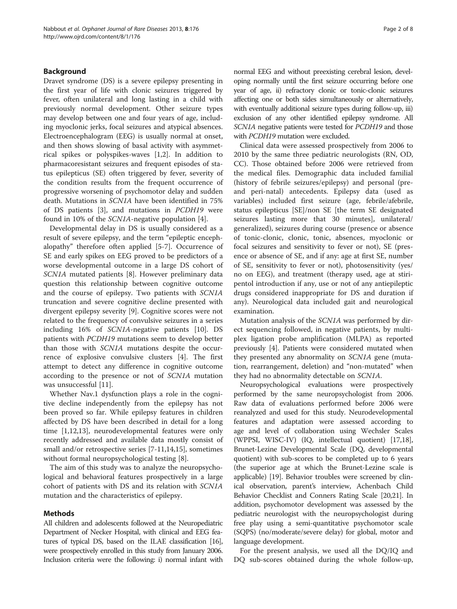# Background

Dravet syndrome (DS) is a severe epilepsy presenting in the first year of life with clonic seizures triggered by fever, often unilateral and long lasting in a child with previously normal development. Other seizure types may develop between one and four years of age, including myoclonic jerks, focal seizures and atypical absences. Electroencephalogram (EEG) is usually normal at onset, and then shows slowing of basal activity with asymmetrical spikes or polyspikes-waves [\[1](#page-7-0),[2](#page-7-0)]. In addition to pharmacoresistant seizures and frequent episodes of status epilepticus (SE) often triggered by fever, severity of the condition results from the frequent occurrence of progressive worsening of psychomotor delay and sudden death. Mutations in SCN1A have been identified in 75% of DS patients [\[3](#page-7-0)], and mutations in PCDH19 were found in 10% of the SCN1A-negative population [\[4\]](#page-7-0).

Developmental delay in DS is usually considered as a result of severe epilepsy, and the term "epileptic encephalopathy" therefore often applied [[5-7](#page-7-0)]. Occurrence of SE and early spikes on EEG proved to be predictors of a worse developmental outcome in a large DS cohort of SCN1A mutated patients [[8\]](#page-7-0). However preliminary data question this relationship between cognitive outcome and the course of epilepsy. Two patients with SCN1A truncation and severe cognitive decline presented with divergent epilepsy severity [[9\]](#page-7-0). Cognitive scores were not related to the frequency of convulsive seizures in a series including 16% of SCN1A-negative patients [\[10](#page-7-0)]. DS patients with PCDH19 mutations seem to develop better than those with SCN1A mutations despite the occurrence of explosive convulsive clusters [[4\]](#page-7-0). The first attempt to detect any difference in cognitive outcome according to the presence or not of SCN1A mutation was unsuccessful [\[11](#page-7-0)].

Whether Nav.1 dysfunction plays a role in the cognitive decline independently from the epilepsy has not been proved so far. While epilepsy features in children affected by DS have been described in detail for a long time [\[1,12,13](#page-7-0)], neurodevelopmental features were only recently addressed and available data mostly consist of small and/or retrospective series [\[7](#page-7-0)-[11,14,15\]](#page-7-0), sometimes without formal neuropsychological testing [[8](#page-7-0)].

The aim of this study was to analyze the neuropsychological and behavioral features prospectively in a large cohort of patients with DS and its relation with SCN1A mutation and the characteristics of epilepsy.

#### Methods

All children and adolescents followed at the Neuropediatric Department of Necker Hospital, with clinical and EEG features of typical DS, based on the ILAE classification [\[16\]](#page-7-0), were prospectively enrolled in this study from January 2006. Inclusion criteria were the following: i) normal infant with

normal EEG and without preexisting cerebral lesion, developing normally until the first seizure occurring before one year of age, ii) refractory clonic or tonic-clonic seizures affecting one or both sides simultaneously or alternatively, with eventually additional seizure types during follow-up, iii) exclusion of any other identified epilepsy syndrome. All SCN1A negative patients were tested for PCDH19 and those with PCDH19 mutation were excluded.

Clinical data were assessed prospectively from 2006 to 2010 by the same three pediatric neurologists (RN, OD, CC). Those obtained before 2006 were retrieved from the medical files. Demographic data included familial (history of febrile seizures/epilepsy) and personal (preand peri-natal) antecedents. Epilepsy data (used as variables) included first seizure (age, febrile/afebrile, status epilepticus [SE]/non SE [the term SE designated seizures lasting more that 30 minutes], unilateral/ generalized), seizures during course (presence or absence of tonic-clonic, clonic, tonic, absences, myoclonic or focal seizures and sensitivity to fever or not), SE (presence or absence of SE, and if any: age at first SE, number of SE, sensitivity to fever or not), photosensitivity (yes/ no on EEG), and treatment (therapy used, age at stiripentol introduction if any, use or not of any antiepileptic drugs considered inappropriate for DS and duration if any). Neurological data included gait and neurological examination.

Mutation analysis of the SCN1A was performed by direct sequencing followed, in negative patients, by multiplex ligation probe amplification (MLPA) as reported previously [[4\]](#page-7-0). Patients were considered mutated when they presented any abnormality on SCN1A gene (mutation, rearrangement, deletion) and "non-mutated" when they had no abnormality detectable on SCN1A.

Neuropsychological evaluations were prospectively performed by the same neuropsychologist from 2006. Raw data of evaluations performed before 2006 were reanalyzed and used for this study. Neurodevelopmental features and adaptation were assessed according to age and level of collaboration using Wechsler Scales (WPPSI, WISC-IV) (IQ, intellectual quotient) [\[17,18](#page-7-0)], Brunet-Lezine Developmental Scale (DQ, developmental quotient) with sub-scores to be completed up to 6 years (the superior age at which the Brunet-Lezine scale is applicable) [\[19\]](#page-7-0). Behavior troubles were screened by clinical observation, parent's interview, Achenbach Child Behavior Checklist and Conners Rating Scale [\[20,21\]](#page-7-0). In addition, psychomotor development was assessed by the pediatric neurologist with the neuropsychologist during free play using a semi-quantitative psychomotor scale (SQPS) (no/moderate/severe delay) for global, motor and language development.

For the present analysis, we used all the DQ/IQ and DQ sub-scores obtained during the whole follow-up,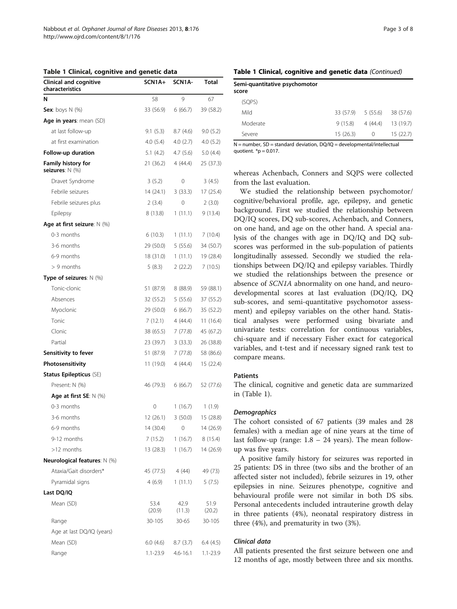<span id="page-2-0"></span>Table 1 Clinical, cognitive and genetic data

| <b>Clinical and cognitive</b><br>characteristics | SCN1A+         | SCN1A-         | <b>Total</b>   |
|--------------------------------------------------|----------------|----------------|----------------|
| N                                                | 58             | 9              | 67             |
| <b>Sex:</b> boys $N$ (%)                         | 33 (56.9)      | 6(66.7)        | 39 (58.2)      |
| Age in years: mean (SD)                          |                |                |                |
| at last follow-up                                | 9.1(5.3)       | 8.7(4.6)       | 9.0(5.2)       |
| at first examination                             | 4.0(5.4)       | 4.0(2.7)       | 4.0 (5.2)      |
| Follow-up duration                               | 5.1(4.2)       | 4.7(5.6)       | 5.0 (4.4)      |
| <b>Family history for</b><br>seizures: N (%)     | 21(36.2)       | 4 (44.4)       | 25 (37.3)      |
| Dravet Syndrome                                  | 3(5.2)         | 0              | 3(4.5)         |
| Febrile seizures                                 | 14 (24.1)      | 3(33.3)        | 17 (25.4)      |
| Febrile seizures plus                            | 2(3.4)         | 0              | 2(3.0)         |
| Epilepsy                                         | 8(13.8)        | 1(11.1)        | 9 (13.4)       |
| Age at first seizure: $N$ (%)                    |                |                |                |
| $0-3$ months                                     | 6(10.3)        | 1(11.1)        | 7 (10.4)       |
| 3-6 months                                       | 29 (50.0)      | 5(55.6)        | 34 (50.7)      |
| 6-9 months                                       | 18 (31.0)      | 1(11.1)        | 19 (28.4)      |
| $> 9$ months                                     | 5(8.3)         | 2(22.2)        | 7(10.5)        |
| Type of seizures: $N$ (%)                        |                |                |                |
| Tonic-clonic                                     | 51 (87.9)      | 8 (88.9)       | 59 (88.1)      |
| Absences                                         | 32 (55.2)      | 5(55.6)        | 37 (55.2)      |
| Myoclonic                                        | 29 (50.0)      | 6 (66.7)       | 35 (52.2)      |
| Tonic                                            | 7(12.1)        | 4 (44.4)       | 11 (16.4)      |
| Clonic                                           | 38 (65.5)      | 7 (77.8)       | 45 (67.2)      |
| Partial                                          | 23 (39.7)      | 3(33.3)        | 26 (38.8)      |
| Sensitivity to fever                             | 51 (87.9)      | 7 (77.8)       | 58 (86.6)      |
| Photosensitivity                                 | 11 (19.0)      | 4 (44.4)       | 15 (22.4)      |
| <b>Status Epilepticus (SE)</b>                   |                |                |                |
| Present: N (%)                                   | 46 (79.3)      | 6 (66.7)       | 52 (77.6)      |
| Age at first SE: $N$ (%)                         |                |                |                |
| 0-3 months                                       | 0              | 1(16.7)        | 1(1.9)         |
| 3-6 months                                       | 12 (26.1)      | 3(50.0)        | 15 (28.8)      |
| 6-9 months                                       | 14 (30.4)      | 0              | 14 (26.9)      |
| 9-12 months                                      | 7 (15.2)       | 1(16.7)        | 8(15.4)        |
| >12 months                                       | 13 (28.3)      | 1(16.7)        | 14 (26.9)      |
| <b>Neurological features: N (%)</b>              |                |                |                |
| Ataxia/Gait disorders*                           | 45 (77.5)      | 4 (44)         | 49 (73)        |
| Pyramidal signs                                  | 4(6.9)         | 1(11.1)        | 5(7.5)         |
| Last DQ/IQ                                       |                |                |                |
| Mean (SD)                                        | 53.4<br>(20.9) | 42.9<br>(11.3) | 51.9<br>(20.2) |
| Range                                            | 30-105         | $30 - 65$      | 30-105         |
| Age at last DQ/IQ (years)                        |                |                |                |
| Mean (SD)                                        | 6.0(4.6)       | 8.7 (3.7)      | 6.4 (4.5)      |
| Range                                            | 1.1-23.9       | $4.6 - 16.1$   | 1.1-23.9       |

#### Table 1 Clinical, cognitive and genetic data (Continued)

| Semi-quantitative psychomotor<br>score |                    |          |                     |
|----------------------------------------|--------------------|----------|---------------------|
| (SQPS)                                 |                    |          |                     |
| Mild                                   | 33 (57.9) 5 (55.6) |          | 38 (57.6)           |
| Moderate                               | 9(15.8)            |          | $4(44.4)$ 13 (19.7) |
| Severe                                 | 15(26.3)           | $\Omega$ | 15(22.7)            |

 $N =$  number,  $SD =$  standard deviation,  $DO/IO =$  developmental/intellectual quotient.  $*$ p = 0.017.

whereas Achenbach, Conners and SQPS were collected from the last evaluation.

We studied the relationship between psychomotor/ cognitive/behavioral profile, age, epilepsy, and genetic background. First we studied the relationship between DQ/IQ scores, DQ sub-scores, Achenbach, and Conners, on one hand, and age on the other hand. A special analysis of the changes with age in DQ/IQ and DQ subscores was performed in the sub-population of patients longitudinally assessed. Secondly we studied the relationships between DQ/IQ and epilepsy variables. Thirdly we studied the relationships between the presence or absence of SCN1A abnormality on one hand, and neurodevelopmental scores at last evaluation (DQ/IQ, DQ sub-scores, and semi-quantitative psychomotor assessment) and epilepsy variables on the other hand. Statistical analyses were performed using bivariate and univariate tests: correlation for continuous variables, chi-square and if necessary Fisher exact for categorical variables, and t-test and if necessary signed rank test to compare means.

# Patients

The clinical, cognitive and genetic data are summarized in (Table 1).

#### **Demographics**

The cohort consisted of 67 patients (39 males and 28 females) with a median age of nine years at the time of last follow-up (range:  $1.8 - 24$  years). The mean followup was five years.

A positive family history for seizures was reported in 25 patients: DS in three (two sibs and the brother of an affected sister not included), febrile seizures in 19, other epilepsies in nine. Seizures phenotype, cognitive and behavioural profile were not similar in both DS sibs. Personal antecedents included intrauterine growth delay in three patients (4%), neonatal respiratory distress in three (4%), and prematurity in two (3%).

#### Clinical data

All patients presented the first seizure between one and 12 months of age, mostly between three and six months.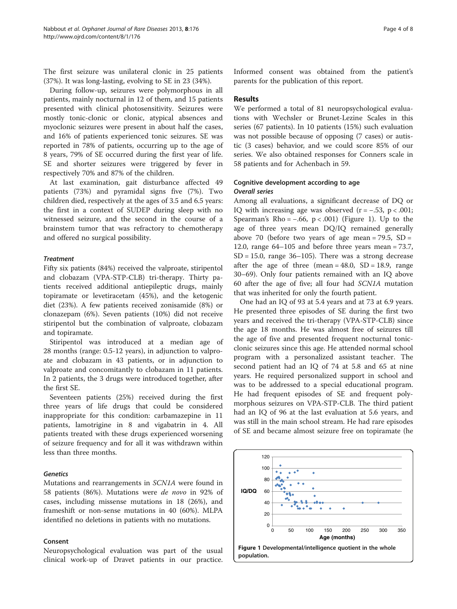The first seizure was unilateral clonic in 25 patients (37%). It was long-lasting, evolving to SE in 23 (34%).

During follow-up, seizures were polymorphous in all patients, mainly nocturnal in 12 of them, and 15 patients presented with clinical photosensitivity. Seizures were mostly tonic-clonic or clonic, atypical absences and myoclonic seizures were present in about half the cases, and 16% of patients experienced tonic seizures. SE was reported in 78% of patients, occurring up to the age of 8 years, 79% of SE occurred during the first year of life. SE and shorter seizures were triggered by fever in respectively 70% and 87% of the children.

At last examination, gait disturbance affected 49 patients (73%) and pyramidal signs five (7%). Two children died, respectively at the ages of 3.5 and 6.5 years: the first in a context of SUDEP during sleep with no witnessed seizure, and the second in the course of a brainstem tumor that was refractory to chemotherapy and offered no surgical possibility.

# **Treatment**

Fifty six patients (84%) received the valproate, stiripentol and clobazam (VPA-STP-CLB) tri-therapy. Thirty patients received additional antiepileptic drugs, mainly topiramate or levetiracetam (45%), and the ketogenic diet (23%). A few patients received zonisamide (8%) or clonazepam (6%). Seven patients (10%) did not receive stiripentol but the combination of valproate, clobazam and topiramate.

Stiripentol was introduced at a median age of 28 months (range: 0.5-12 years), in adjunction to valproate and clobazam in 43 patients, or in adjunction to valproate and concomitantly to clobazam in 11 patients. In 2 patients, the 3 drugs were introduced together, after the first SE.

Seventeen patients (25%) received during the first three years of life drugs that could be considered inappropriate for this condition: carbamazepine in 11 patients, lamotrigine in 8 and vigabatrin in 4. All patients treated with these drugs experienced worsening of seizure frequency and for all it was withdrawn within less than three months.

# Genetics

Mutations and rearrangements in SCN1A were found in 58 patients (86%). Mutations were de novo in 92% of cases, including missense mutations in 18 (26%), and frameshift or non-sense mutations in 40 (60%). MLPA identified no deletions in patients with no mutations.

#### Consent

Neuropsychological evaluation was part of the usual clinical work-up of Dravet patients in our practice. Informed consent was obtained from the patient's parents for the publication of this report.

# Results

We performed a total of 81 neuropsychological evaluations with Wechsler or Brunet-Lezine Scales in this series (67 patients). In 10 patients (15%) such evaluation was not possible because of opposing (7 cases) or autistic (3 cases) behavior, and we could score 85% of our series. We also obtained responses for Conners scale in 58 patients and for Achenbach in 59.

# Cognitive development according to age Overall series

Among all evaluations, a significant decrease of DQ or IQ with increasing age was observed  $(r = -.53, p < .001;$ Spearman's Rho =  $-.66$ , p < .001) (Figure 1). Up to the age of three years mean DQ/IQ remained generally above 70 (before two years of age mean =  $79.5$ , SD = 12.0, range 64–105 and before three years mean = 73.7,  $SD = 15.0$ , range  $36-105$ ). There was a strong decrease after the age of three (mean =  $48.0$ , SD =  $18.9$ , range 30–69). Only four patients remained with an IQ above 60 after the age of five; all four had SCN1A mutation that was inherited for only the fourth patient.

One had an IQ of 93 at 5.4 years and at 73 at 6.9 years. He presented three episodes of SE during the first two years and received the tri-therapy (VPA-STP-CLB) since the age 18 months. He was almost free of seizures till the age of five and presented frequent nocturnal tonicclonic seizures since this age. He attended normal school program with a personalized assistant teacher. The second patient had an IQ of 74 at 5.8 and 65 at nine years. He required personalized support in school and was to be addressed to a special educational program. He had frequent episodes of SE and frequent polymorphous seizures on VPA-STP-CLB. The third patient had an IQ of 96 at the last evaluation at 5.6 years, and was still in the main school stream. He had rare episodes of SE and became almost seizure free on topiramate (he

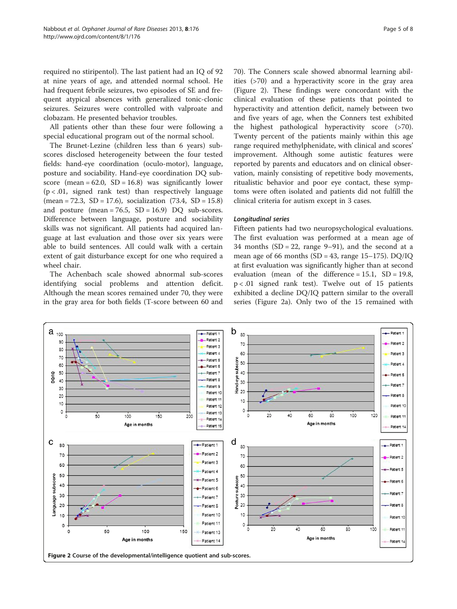<span id="page-4-0"></span>required no stiripentol). The last patient had an IQ of 92 at nine years of age, and attended normal school. He had frequent febrile seizures, two episodes of SE and frequent atypical absences with generalized tonic-clonic seizures. Seizures were controlled with valproate and clobazam. He presented behavior troubles.

All patients other than these four were following a special educational program out of the normal school.

The Brunet-Lezine (children less than 6 years) subscores disclosed heterogeneity between the four tested fields: hand-eye coordination (oculo-motor), language, posture and sociability. Hand-eye coordination DQ subscore (mean =  $62.0$ , SD =  $16.8$ ) was significantly lower  $(p < .01,$  signed rank test) than respectively language  $(mean = 72.3, SD = 17.6)$ , socialization  $(73.4, SD = 15.8)$ and posture (mean =  $76.5$ , SD =  $16.9$ ) DQ sub-scores. Difference between language, posture and sociability skills was not significant. All patients had acquired language at last evaluation and those over six years were able to build sentences. All could walk with a certain extent of gait disturbance except for one who required a wheel chair.

The Achenbach scale showed abnormal sub-scores identifying social problems and attention deficit. Although the mean scores remained under 70, they were in the gray area for both fields (T-score between 60 and

70). The Conners scale showed abnormal learning abilities (>70) and a hyperactivity score in the gray area (Figure 2). These findings were concordant with the clinical evaluation of these patients that pointed to hyperactivity and attention deficit, namely between two and five years of age, when the Conners test exhibited the highest pathological hyperactivity score (>70). Twenty percent of the patients mainly within this age range required methylphenidate, with clinical and scores' improvement. Although some autistic features were reported by parents and educators and on clinical observation, mainly consisting of repetitive body movements, ritualistic behavior and poor eye contact, these symptoms were often isolated and patients did not fulfill the clinical criteria for autism except in 3 cases.

# Longitudinal series

Fifteen patients had two neuropsychological evaluations. The first evaluation was performed at a mean age of 34 months  $(SD = 22$ , range 9–91), and the second at a mean age of 66 months (SD = 43, range  $15-175$ ). DO/IO at first evaluation was significantly higher than at second evaluation (mean of the difference =  $15.1$ , SD =  $19.8$ , p < .01 signed rank test). Twelve out of 15 patients exhibited a decline DQ/IQ pattern similar to the overall series (Figure 2a). Only two of the 15 remained with

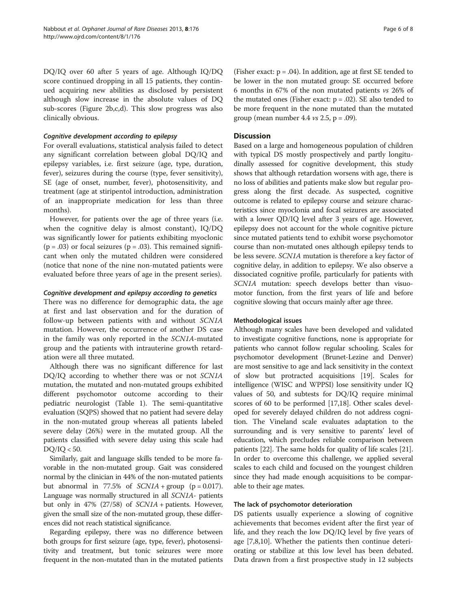DQ/IQ over 60 after 5 years of age. Although IQ/DQ score continued dropping in all 15 patients, they continued acquiring new abilities as disclosed by persistent although slow increase in the absolute values of DQ sub-scores (Figure [2](#page-4-0)b,c,d). This slow progress was also clinically obvious.

#### Cognitive development according to epilepsy

For overall evaluations, statistical analysis failed to detect any significant correlation between global DQ/IQ and epilepsy variables, i.e. first seizure (age, type, duration, fever), seizures during the course (type, fever sensitivity), SE (age of onset, number, fever), photosensitivity, and treatment (age at stiripentol introduction, administration of an inappropriate medication for less than three months).

However, for patients over the age of three years (i.e. when the cognitive delay is almost constant), IQ/DQ was significantly lower for patients exhibiting myoclonic  $(p = .03)$  or focal seizures  $(p = .03)$ . This remained significant when only the mutated children were considered (notice that none of the nine non-mutated patients were evaluated before three years of age in the present series).

# Cognitive development and epilepsy according to genetics

There was no difference for demographic data, the age at first and last observation and for the duration of follow-up between patients with and without SCN1A mutation. However, the occurrence of another DS case in the family was only reported in the SCN1A-mutated group and the patients with intrauterine growth retardation were all three mutated.

Although there was no significant difference for last DQ/IQ according to whether there was or not SCN1A mutation, the mutated and non-mutated groups exhibited different psychomotor outcome according to their pediatric neurologist (Table [1\)](#page-2-0). The semi-quantitative evaluation (SQPS) showed that no patient had severe delay in the non-mutated group whereas all patients labeled severe delay (26%) were in the mutated group. All the patients classified with severe delay using this scale had DQ/IQ < 50.

Similarly, gait and language skills tended to be more favorable in the non-mutated group. Gait was considered normal by the clinician in 44% of the non-mutated patients but abnormal in 77.5% of  $SCNIA + group$  (p = 0.017). Language was normally structured in all SCN1A- patients but only in 47% (27/58) of SCN1A + patients. However, given the small size of the non-mutated group, these differences did not reach statistical significance.

Regarding epilepsy, there was no difference between both groups for first seizure (age, type, fever), photosensitivity and treatment, but tonic seizures were more frequent in the non-mutated than in the mutated patients

(Fisher exact:  $p = .04$ ). In addition, age at first SE tended to be lower in the non mutated group: SE occurred before 6 months in 67% of the non mutated patients vs 26% of the mutated ones (Fisher exact:  $p = .02$ ). SE also tended to be more frequent in the none mutated than the mutated group (mean number 4.4  $vs$  2.5, p = .09).

# **Discussion**

Based on a large and homogeneous population of children with typical DS mostly prospectively and partly longitudinally assessed for cognitive development, this study shows that although retardation worsens with age, there is no loss of abilities and patients make slow but regular progress along the first decade. As suspected, cognitive outcome is related to epilepsy course and seizure characteristics since myoclonia and focal seizures are associated with a lower QD/IQ level after 3 years of age. However, epilepsy does not account for the whole cognitive picture since mutated patients tend to exhibit worse psychomotor course than non-mutated ones although epilepsy tends to be less severe. SCN1A mutation is therefore a key factor of cognitive delay, in addition to epilepsy. We also observe a dissociated cognitive profile, particularly for patients with SCN1A mutation: speech develops better than visuomotor function, from the first years of life and before cognitive slowing that occurs mainly after age three.

#### Methodological issues

Although many scales have been developed and validated to investigate cognitive functions, none is appropriate for patients who cannot follow regular schooling. Scales for psychomotor development (Brunet-Lezine and Denver) are most sensitive to age and lack sensitivity in the context of slow but protracted acquisitions [\[19\]](#page-7-0). Scales for intelligence (WISC and WPPSI) lose sensitivity under IQ values of 50, and subtests for DQ/IQ require minimal scores of 60 to be performed [[17,18\]](#page-7-0). Other scales developed for severely delayed children do not address cognition. The Vineland scale evaluates adaptation to the surrounding and is very sensitive to parents' level of education, which precludes reliable comparison between patients [\[22\]](#page-7-0). The same holds for quality of life scales [[21](#page-7-0)]. In order to overcome this challenge, we applied several scales to each child and focused on the youngest children since they had made enough acquisitions to be comparable to their age mates.

#### The lack of psychomotor deterioration

DS patients usually experience a slowing of cognitive achievements that becomes evident after the first year of life, and they reach the low DQ/IQ level by five years of age [\[7,8,10\]](#page-7-0). Whether the patients then continue deteriorating or stabilize at this low level has been debated. Data drawn from a first prospective study in 12 subjects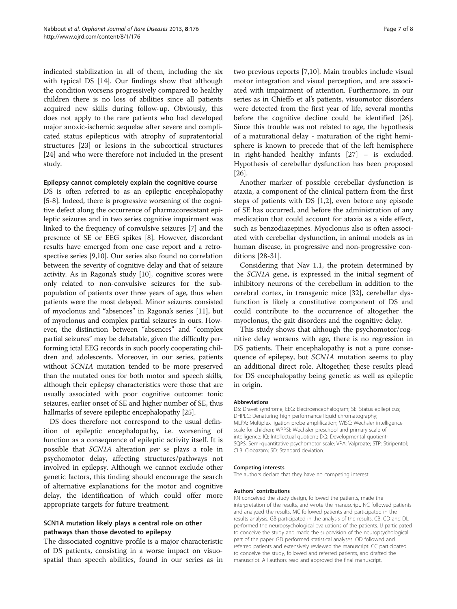indicated stabilization in all of them, including the six with typical DS [\[14](#page-7-0)]. Our findings show that although the condition worsens progressively compared to healthy children there is no loss of abilities since all patients acquired new skills during follow-up. Obviously, this does not apply to the rare patients who had developed major anoxic-ischemic sequelae after severe and complicated status epilepticus with atrophy of supratentorial structures [[23](#page-7-0)] or lesions in the subcortical structures [[24\]](#page-7-0) and who were therefore not included in the present study.

#### Epilepsy cannot completely explain the cognitive course

DS is often referred to as an epileptic encephalopathy [[5-8\]](#page-7-0). Indeed, there is progressive worsening of the cognitive defect along the occurrence of pharmacoresistant epileptic seizures and in two series cognitive impairment was linked to the frequency of convulsive seizures [\[7](#page-7-0)] and the presence of SE or EEG spikes [[8\]](#page-7-0). However, discordant results have emerged from one case report and a retrospective series [[9,10](#page-7-0)]. Our series also found no correlation between the severity of cognitive delay and that of seizure activity. As in Ragona's study [\[10\]](#page-7-0), cognitive scores were only related to non-convulsive seizures for the subpopulation of patients over three years of age, thus when patients were the most delayed. Minor seizures consisted of myoclonus and "absences" in Ragona's series [[11](#page-7-0)], but of myoclonus and complex partial seizures in ours. However, the distinction between "absences" and "complex partial seizures" may be debatable, given the difficulty performing ictal EEG records in such poorly cooperating children and adolescents. Moreover, in our series, patients without SCN1A mutation tended to be more preserved than the mutated ones for both motor and speech skills, although their epilepsy characteristics were those that are usually associated with poor cognitive outcome: tonic seizures, earlier onset of SE and higher number of SE, thus hallmarks of severe epileptic encephalopathy [\[25\]](#page-7-0).

DS does therefore not correspond to the usual definition of epileptic encephalopathy, i.e. worsening of function as a consequence of epileptic activity itself. It is possible that SCN1A alteration per se plays a role in psychomotor delay, affecting structures/pathways not involved in epilepsy. Although we cannot exclude other genetic factors, this finding should encourage the search of alternative explanations for the motor and cognitive delay, the identification of which could offer more appropriate targets for future treatment.

# SCN1A mutation likely plays a central role on other pathways than those devoted to epilepsy

The dissociated cognitive profile is a major characteristic of DS patients, consisting in a worse impact on visuospatial than speech abilities, found in our series as in two previous reports [\[7,10](#page-7-0)]. Main troubles include visual motor integration and visual perception, and are associated with impairment of attention. Furthermore, in our series as in Chieffo et al's patients, visuomotor disorders were detected from the first year of life, several months before the cognitive decline could be identified [\[26](#page-7-0)]. Since this trouble was not related to age, the hypothesis of a maturational delay - maturation of the right hemi-

sphere is known to precede that of the left hemisphere in right-handed healthy infants [[27\]](#page-7-0) – is excluded. Hypothesis of cerebellar dysfunction has been proposed [[26\]](#page-7-0). Another marker of possible cerebellar dysfunction is

ataxia, a component of the clinical pattern from the first steps of patients with DS [\[1,2](#page-7-0)], even before any episode of SE has occurred, and before the administration of any medication that could account for ataxia as a side effect, such as benzodiazepines. Myoclonus also is often associated with cerebellar dysfunction, in animal models as in human disease, in progressive and non-progressive conditions [[28-31\]](#page-7-0).

Considering that Nav 1.1, the protein determined by the SCN1A gene, is expressed in the initial segment of inhibitory neurons of the cerebellum in addition to the cerebral cortex, in transgenic mice [\[32](#page-7-0)], cerebellar dysfunction is likely a constitutive component of DS and could contribute to the occurrence of altogether the myoclonus, the gait disorders and the cognitive delay.

This study shows that although the psychomotor/cognitive delay worsens with age, there is no regression in DS patients. Their encephalopathy is not a pure consequence of epilepsy, but SCN1A mutation seems to play an additional direct role. Altogether, these results plead for DS encephalopathy being genetic as well as epileptic in origin.

#### Abbreviations

DS: Dravet syndrome; EEG: Electroencephalogram; SE: Status epilepticus; DHPLC: Denaturing high performance liquid chromatography; MLPA: Multiplex ligation probe amplification; WISC: Wechsler intelligence scale for children; WPPSI: Wechsler preschool and primary scale of intelligence; IQ: Intellectual quotient; DQ: Developmental quotient; SQPS: Semi-quantitative psychomotor scale; VPA: Valproate; STP: Stiripentol; CLB: Clobazam; SD: Standard deviation.

#### Competing interests

The authors declare that they have no competing interest.

#### Authors' contributions

RN conceived the study design, followed the patients, made the interpretation of the results, and wrote the manuscript. NC followed patients and analyzed the results. MC followed patients and participated in the results analysis. GB participated in the analysis of the results. CB, CD and DL performed the neuropsychological evaluations of the patients. IJ participated to conceive the study and made the supervision of the neuropsychological part of the paper. GD performed statistical analyses. OD followed and referred patients and extensively reviewed the manuscript. CC participated to conceive the study, followed and referred patients, and drafted the manuscript. All authors read and approved the final manuscript.